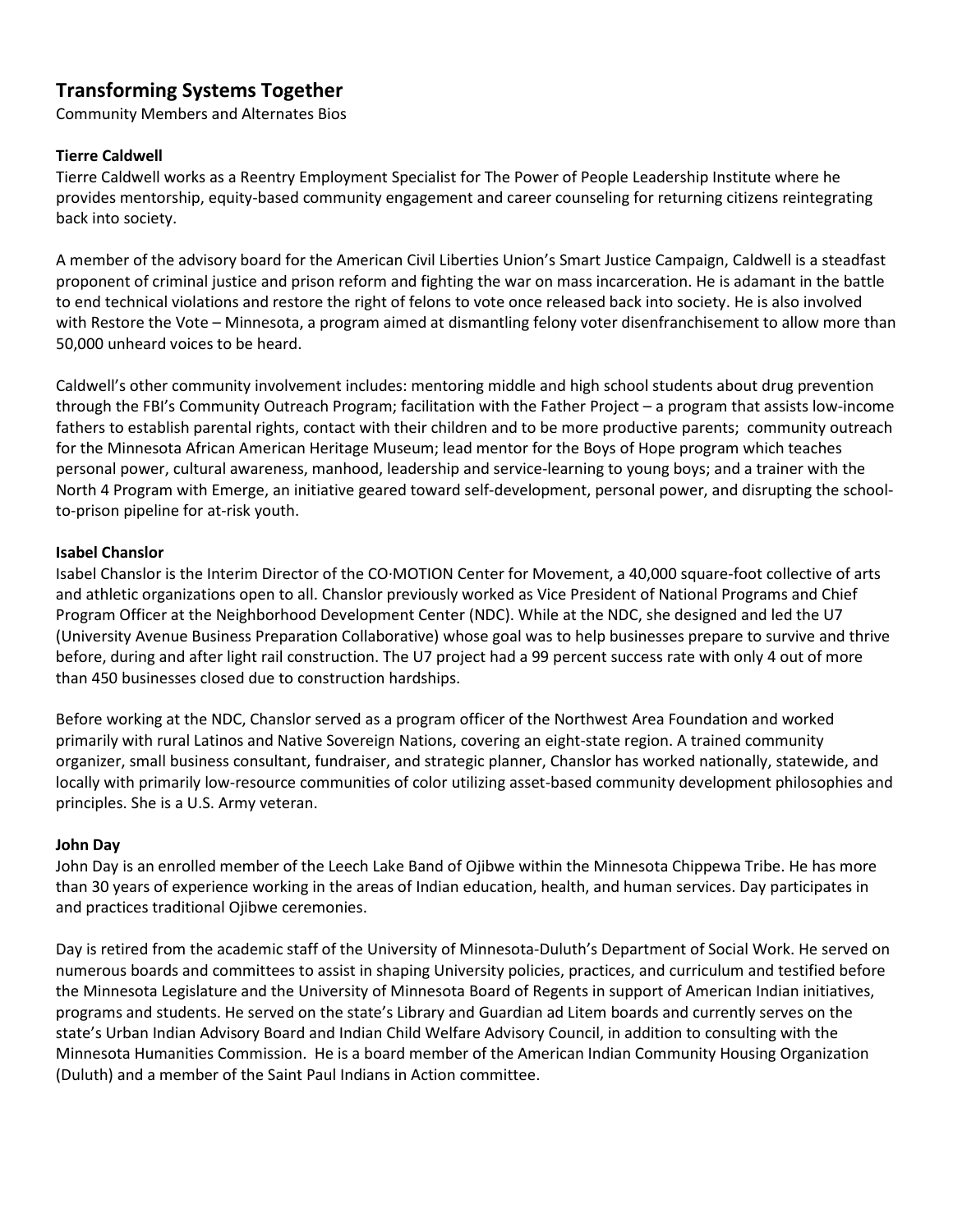# **Transforming Systems Together**

Community Members and Alternates Bios

# **Tierre Caldwell**

Tierre Caldwell works as a Reentry Employment Specialist for The Power of People Leadership Institute where he provides mentorship, equity-based community engagement and career counseling for returning citizens reintegrating back into society.

A member of the advisory board for the American Civil Liberties Union's Smart Justice Campaign, Caldwell is a steadfast proponent of criminal justice and prison reform and fighting the war on mass incarceration. He is adamant in the battle to end technical violations and restore the right of felons to vote once released back into society. He is also involved with Restore the Vote – Minnesota, a program aimed at dismantling felony voter disenfranchisement to allow more than 50,000 unheard voices to be heard.

Caldwell's other community involvement includes: mentoring middle and high school students about drug prevention through the FBI's Community Outreach Program; facilitation with the Father Project – a program that assists low-income fathers to establish parental rights, contact with their children and to be more productive parents; community outreach for the Minnesota African American Heritage Museum; lead mentor for the Boys of Hope program which teaches personal power, cultural awareness, manhood, leadership and service-learning to young boys; and a trainer with the North 4 Program with Emerge, an initiative geared toward self-development, personal power, and disrupting the schoolto-prison pipeline for at-risk youth.

## **Isabel Chanslor**

Isabel Chanslor is the Interim Director of the CO·MOTION Center for Movement, a 40,000 square-foot collective of arts and athletic organizations open to all. Chanslor previously worked as Vice President of National Programs and Chief Program Officer at the Neighborhood Development Center (NDC). While at the NDC, she designed and led the U7 (University Avenue Business Preparation Collaborative) whose goal was to help businesses prepare to survive and thrive before, during and after light rail construction. The U7 project had a 99 percent success rate with only 4 out of more than 450 businesses closed due to construction hardships.

Before working at the NDC, Chanslor served as a program officer of the Northwest Area Foundation and worked primarily with rural Latinos and Native Sovereign Nations, covering an eight-state region. A trained community organizer, small business consultant, fundraiser, and strategic planner, Chanslor has worked nationally, statewide, and locally with primarily low-resource communities of color utilizing asset-based community development philosophies and principles. She is a U.S. Army veteran.

## **John Day**

John Day is an enrolled member of the Leech Lake Band of Ojibwe within the Minnesota Chippewa Tribe. He has more than 30 years of experience working in the areas of Indian education, health, and human services. Day participates in and practices traditional Ojibwe ceremonies.

Day is retired from the academic staff of the University of Minnesota-Duluth's Department of Social Work. He served on numerous boards and committees to assist in shaping University policies, practices, and curriculum and testified before the Minnesota Legislature and the University of Minnesota Board of Regents in support of American Indian initiatives, programs and students. He served on the state's Library and Guardian ad Litem boards and currently serves on the state's Urban Indian Advisory Board and Indian Child Welfare Advisory Council, in addition to consulting with the Minnesota Humanities Commission. He is a board member of the American Indian Community Housing Organization (Duluth) and a member of the Saint Paul Indians in Action committee.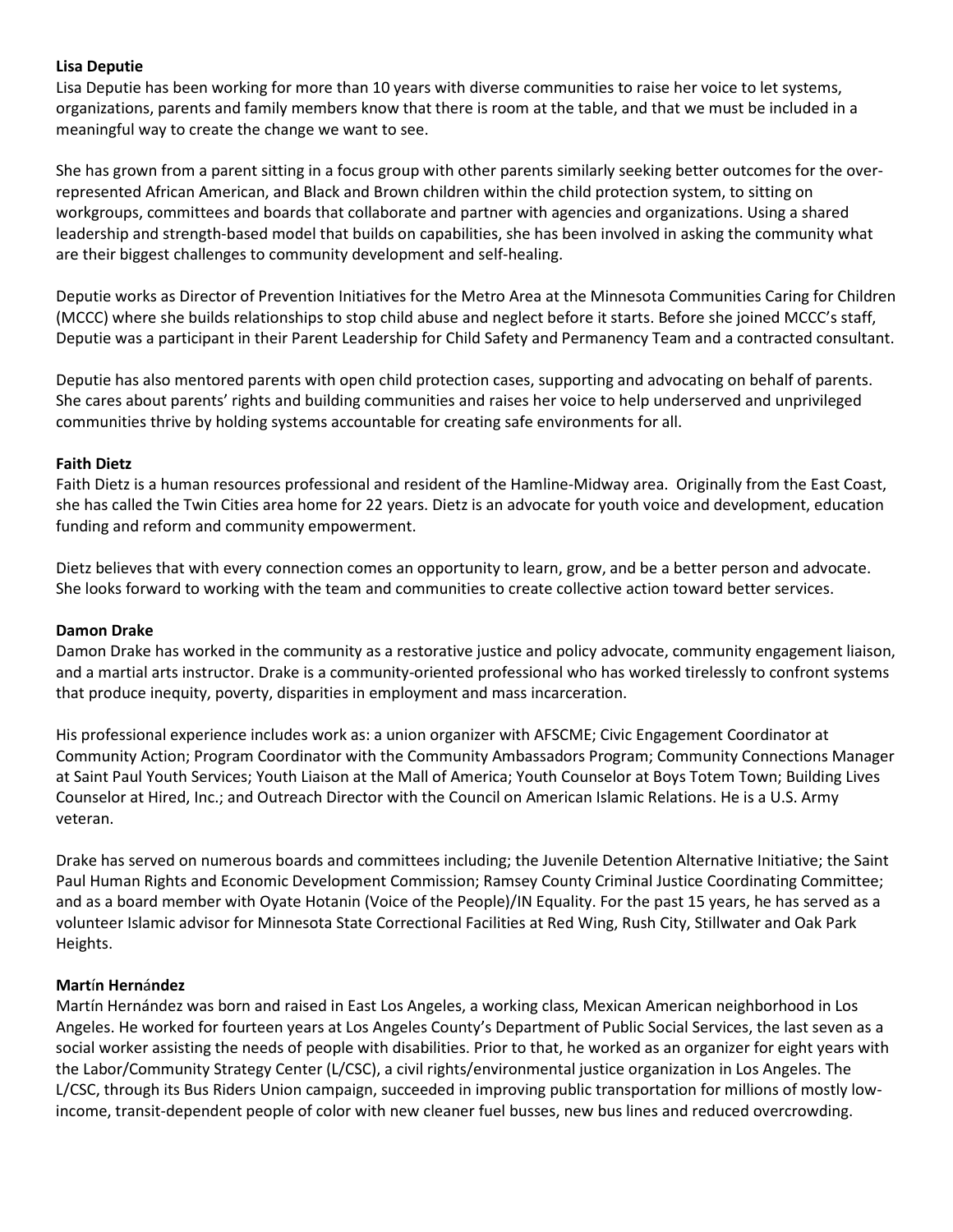## **Lisa Deputie**

Lisa Deputie has been working for more than 10 years with diverse communities to raise her voice to let systems, organizations, parents and family members know that there is room at the table, and that we must be included in a meaningful way to create the change we want to see.

She has grown from a parent sitting in a focus group with other parents similarly seeking better outcomes for the overrepresented African American, and Black and Brown children within the child protection system, to sitting on workgroups, committees and boards that collaborate and partner with agencies and organizations. Using a shared leadership and strength-based model that builds on capabilities, she has been involved in asking the community what are their biggest challenges to community development and self-healing.

Deputie works as Director of Prevention Initiatives for the Metro Area at the Minnesota Communities Caring for Children (MCCC) where she builds relationships to stop child abuse and neglect before it starts. Before she joined MCCC's staff, Deputie was a participant in their Parent Leadership for Child Safety and Permanency Team and a contracted consultant.

Deputie has also mentored parents with open child protection cases, supporting and advocating on behalf of parents. She cares about parents' rights and building communities and raises her voice to help underserved and unprivileged communities thrive by holding systems accountable for creating safe environments for all.

# **Faith Dietz**

Faith Dietz is a human resources professional and resident of the Hamline-Midway area. Originally from the East Coast, she has called the Twin Cities area home for 22 years. Dietz is an advocate for youth voice and development, education funding and reform and community empowerment.

Dietz believes that with every connection comes an opportunity to learn, grow, and be a better person and advocate. She looks forward to working with the team and communities to create collective action toward better services.

## **Damon Drake**

Damon Drake has worked in the community as a restorative justice and policy advocate, community engagement liaison, and a martial arts instructor. Drake is a community-oriented professional who has worked tirelessly to confront systems that produce inequity, poverty, disparities in employment and mass incarceration.

His professional experience includes work as: a union organizer with AFSCME; Civic Engagement Coordinator at Community Action; Program Coordinator with the Community Ambassadors Program; Community Connections Manager at Saint Paul Youth Services; Youth Liaison at the Mall of America; Youth Counselor at Boys Totem Town; Building Lives Counselor at Hired, Inc.; and Outreach Director with the Council on American Islamic Relations. He is a U.S. Army veteran.

Drake has served on numerous boards and committees including; the Juvenile Detention Alternative Initiative; the Saint Paul Human Rights and Economic Development Commission; Ramsey County Criminal Justice Coordinating Committee; and as a board member with Oyate Hotanin (Voice of the People)/IN Equality. For the past 15 years, he has served as a volunteer Islamic advisor for Minnesota State Correctional Facilities at Red Wing, Rush City, Stillwater and Oak Park Heights.

## **Mart**í**n Hern**á**ndez**

Martín Hernández was born and raised in East Los Angeles, a working class, Mexican American neighborhood in Los Angeles. He worked for fourteen years at Los Angeles County's Department of Public Social Services, the last seven as a social worker assisting the needs of people with disabilities. Prior to that, he worked as an organizer for eight years with the Labor/Community Strategy Center (L/CSC), a civil rights/environmental justice organization in Los Angeles. The L/CSC, through its Bus Riders Union campaign, succeeded in improving public transportation for millions of mostly lowincome, transit-dependent people of color with new cleaner fuel busses, new bus lines and reduced overcrowding.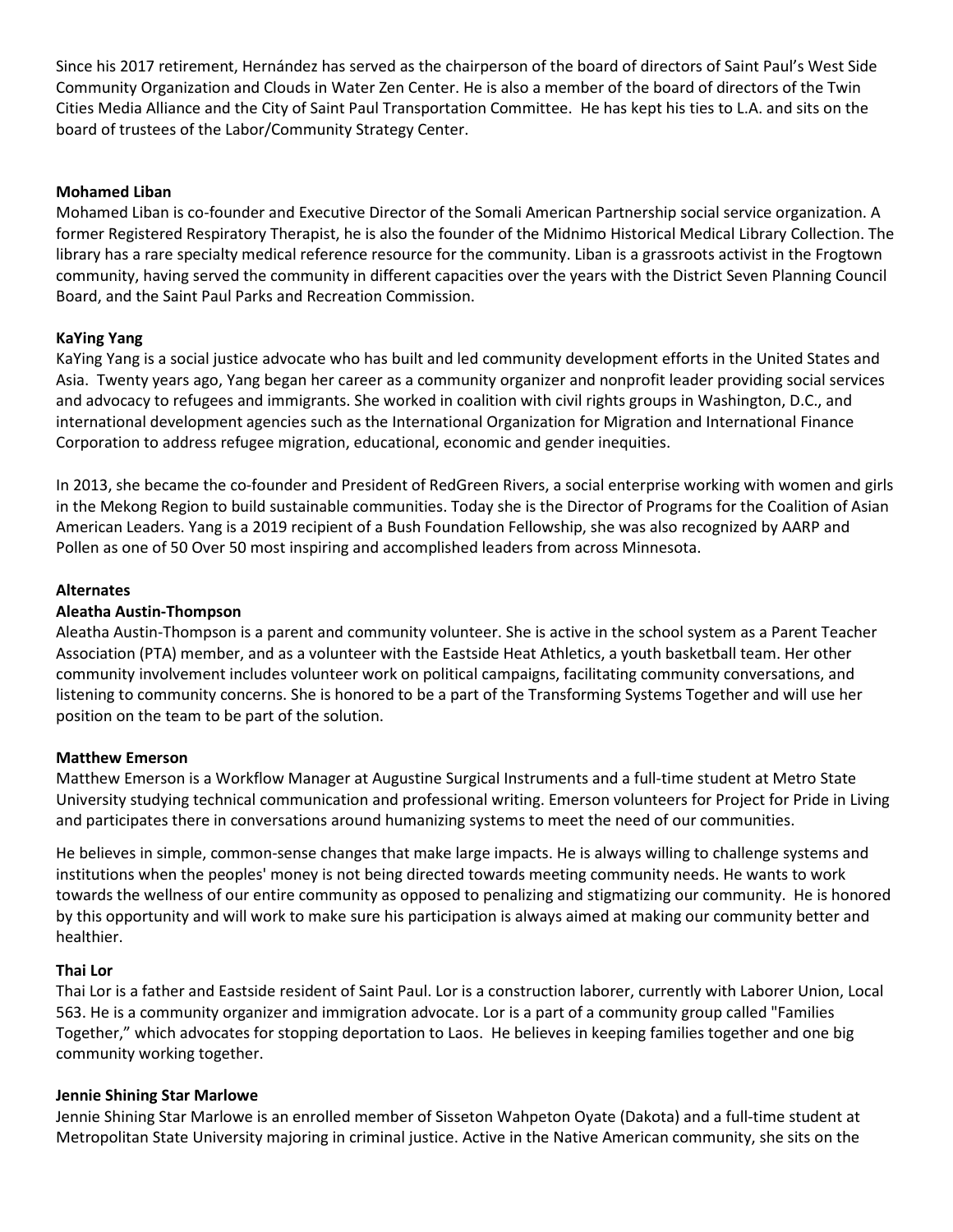Since his 2017 retirement, Hernández has served as the chairperson of the board of directors of Saint Paul's West Side Community Organization and Clouds in Water Zen Center. He is also a member of the board of directors of the Twin Cities Media Alliance and the City of Saint Paul Transportation Committee. He has kept his ties to L.A. and sits on the board of trustees of the Labor/Community Strategy Center.

## **Mohamed Liban**

Mohamed Liban is co-founder and Executive Director of the Somali American Partnership social service organization. A former Registered Respiratory Therapist, he is also the founder of the Midnimo Historical Medical Library Collection. The library has a rare specialty medical reference resource for the community. Liban is a grassroots activist in the Frogtown community, having served the community in different capacities over the years with the District Seven Planning Council Board, and the Saint Paul Parks and Recreation Commission.

# **KaYing Yang**

KaYing Yang is a social justice advocate who has built and led community development efforts in the United States and Asia. Twenty years ago, Yang began her career as a community organizer and nonprofit leader providing social services and advocacy to refugees and immigrants. She worked in coalition with civil rights groups in Washington, D.C., and international development agencies such as the International Organization for Migration and International Finance Corporation to address refugee migration, educational, economic and gender inequities.

In 2013, she became the co-founder and President of RedGreen Rivers, a social enterprise working with women and girls in the Mekong Region to build sustainable communities. Today she is the Director of Programs for the Coalition of Asian American Leaders. Yang is a 2019 recipient of a Bush Foundation Fellowship, she was also recognized by AARP and Pollen as one of 50 Over 50 most inspiring and accomplished leaders from across Minnesota.

# **Alternates**

## **Aleatha Austin-Thompson**

Aleatha Austin-Thompson is a parent and community volunteer. She is active in the school system as a Parent Teacher Association (PTA) member, and as a volunteer with the Eastside Heat Athletics, a youth basketball team. Her other community involvement includes volunteer work on political campaigns, facilitating community conversations, and listening to community concerns. She is honored to be a part of the Transforming Systems Together and will use her position on the team to be part of the solution.

## **Matthew Emerson**

Matthew Emerson is a Workflow Manager at Augustine Surgical Instruments and a full-time student at Metro State University studying technical communication and professional writing. Emerson volunteers for Project for Pride in Living and participates there in conversations around humanizing systems to meet the need of our communities.

He believes in simple, common-sense changes that make large impacts. He is always willing to challenge systems and institutions when the peoples' money is not being directed towards meeting community needs. He wants to work towards the wellness of our entire community as opposed to penalizing and stigmatizing our community. He is honored by this opportunity and will work to make sure his participation is always aimed at making our community better and healthier.

## **Thai Lor**

Thai Lor is a father and Eastside resident of Saint Paul. Lor is a construction laborer, currently with Laborer Union, Local 563. He is a community organizer and immigration advocate. Lor is a part of a community group called "Families Together," which advocates for stopping deportation to Laos. He believes in keeping families together and one big community working together.

## **Jennie Shining Star Marlowe**

Jennie Shining Star Marlowe is an enrolled member of Sisseton Wahpeton Oyate (Dakota) and a full-time student at Metropolitan State University majoring in criminal justice. Active in the Native American community, she sits on the